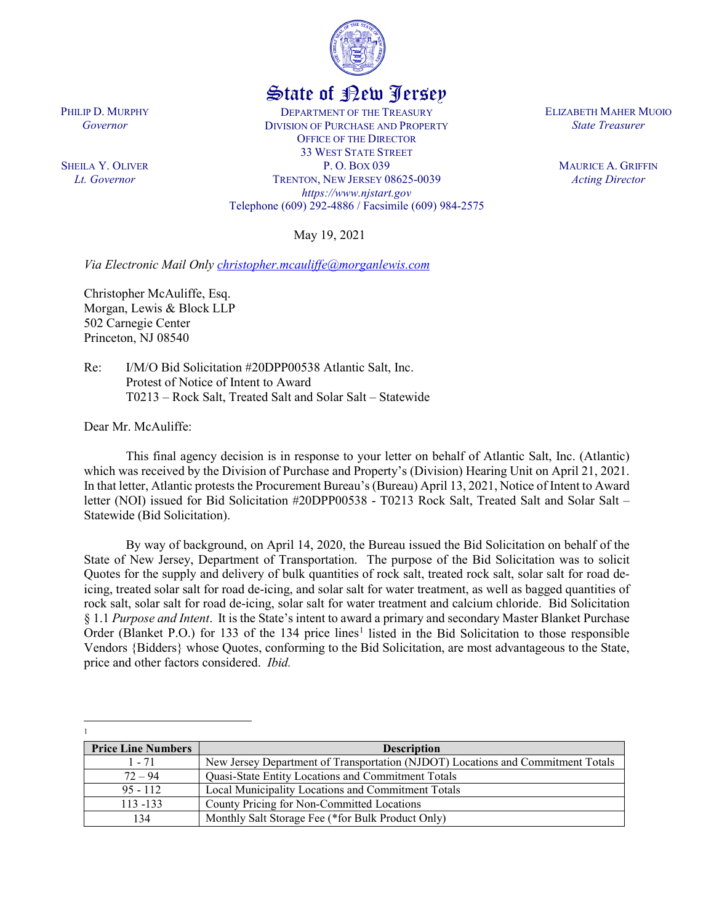

# State of New Jersey

DEPARTMENT OF THE TREASURY DIVISION OF PURCHASE AND PROPERTY OFFICE OF THE DIRECTOR 33 WEST STATE STREET P. O. BOX 039 TRENTON, NEW JERSEY 08625-0039 *https://www.njstart.gov* Telephone (609) 292-4886 / Facsimile (609) 984-2575

May 19, 2021

*Via Electronic Mail Only [christopher.mcauliffe@morganlewis.com](mailto:christopher.mcauliffe@morganlewis.com)*

Christopher McAuliffe, Esq. Morgan, Lewis & Block LLP 502 Carnegie Center Princeton, NJ 08540

Re: I/M/O Bid Solicitation #20DPP00538 Atlantic Salt, Inc. Protest of Notice of Intent to Award T0213 – Rock Salt, Treated Salt and Solar Salt – Statewide

Dear Mr. McAuliffe:

l

This final agency decision is in response to your letter on behalf of Atlantic Salt, Inc. (Atlantic) which was received by the Division of Purchase and Property's (Division) Hearing Unit on April 21, 2021. In that letter, Atlantic protests the Procurement Bureau's (Bureau) April 13, 2021, Notice of Intent to Award letter (NOI) issued for Bid Solicitation #20DPP00538 - T0213 Rock Salt, Treated Salt and Solar Salt – Statewide (Bid Solicitation).

By way of background, on April 14, 2020, the Bureau issued the Bid Solicitation on behalf of the State of New Jersey, Department of Transportation. The purpose of the Bid Solicitation was to solicit Quotes for the supply and delivery of bulk quantities of rock salt, treated rock salt, solar salt for road deicing, treated solar salt for road de-icing, and solar salt for water treatment, as well as bagged quantities of rock salt, solar salt for road de-icing, solar salt for water treatment and calcium chloride. Bid Solicitation § 1.1 *Purpose and Intent*. It is the State's intent to award a primary and secondary Master Blanket Purchase Order (Blanket P.O.) for [1](#page-0-0)33 of the 134 price lines<sup>1</sup> listed in the Bid Solicitation to those responsible Vendors {Bidders} whose Quotes, conforming to the Bid Solicitation, are most advantageous to the State, price and other factors considered. *Ibid.*

<span id="page-0-0"></span>

| <b>Price Line Numbers</b> | <b>Description</b>                                                              |
|---------------------------|---------------------------------------------------------------------------------|
| $1 - 71$                  | New Jersey Department of Transportation (NJDOT) Locations and Commitment Totals |
| $72 - 94$                 | Quasi-State Entity Locations and Commitment Totals                              |
| $95 - 112$                | Local Municipality Locations and Commitment Totals                              |
| $113 - 133$               | County Pricing for Non-Committed Locations                                      |
| 134                       | Monthly Salt Storage Fee (*for Bulk Product Only)                               |

ELIZABETH MAHER MUOIO *State Treasurer*

> MAURICE A. GRIFFIN *Acting Director*

PHILIP D. MURPHY *Governor*

SHEILA Y. OLIVER *Lt. Governor*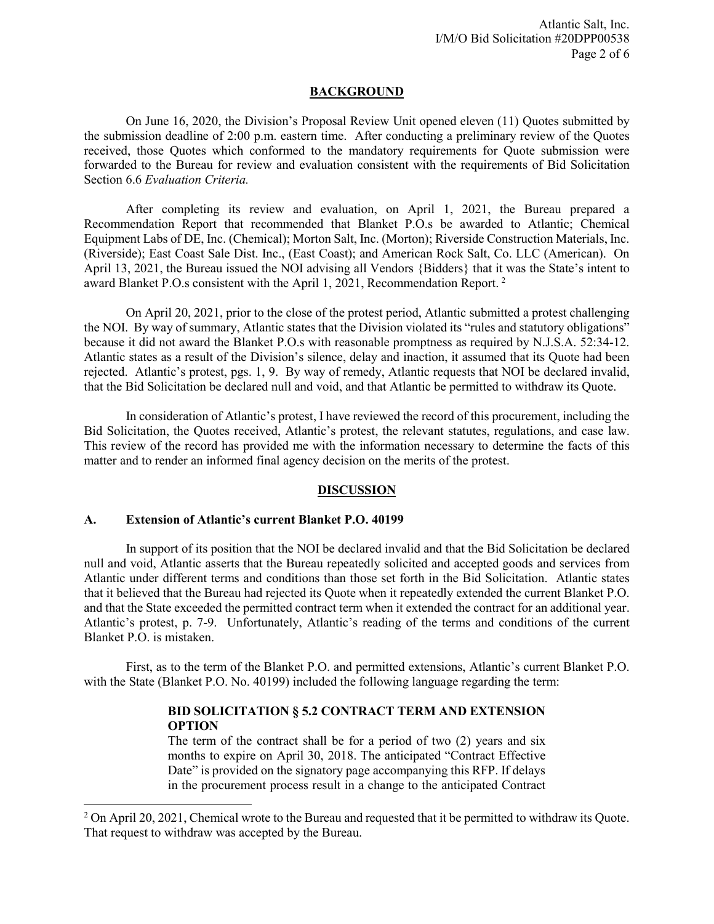## **BACKGROUND**

On June 16, 2020, the Division's Proposal Review Unit opened eleven (11) Quotes submitted by the submission deadline of 2:00 p.m. eastern time. After conducting a preliminary review of the Quotes received, those Quotes which conformed to the mandatory requirements for Quote submission were forwarded to the Bureau for review and evaluation consistent with the requirements of Bid Solicitation Section 6.6 *Evaluation Criteria.*

After completing its review and evaluation, on April 1, 2021, the Bureau prepared a Recommendation Report that recommended that Blanket P.O.s be awarded to Atlantic; Chemical Equipment Labs of DE, Inc. (Chemical); Morton Salt, Inc. (Morton); Riverside Construction Materials, Inc. (Riverside); East Coast Sale Dist. Inc., (East Coast); and American Rock Salt, Co. LLC (American). On April 13, 2021, the Bureau issued the NOI advising all Vendors {Bidders} that it was the State's intent to award Blanket P.O.s consistent with the April 1, 2021, Recommendation Report. [2](#page-1-0)

On April 20, 2021, prior to the close of the protest period, Atlantic submitted a protest challenging the NOI. By way of summary, Atlantic states that the Division violated its "rules and statutory obligations" because it did not award the Blanket P.O.s with reasonable promptness as required by N.J.S.A. 52:34-12. Atlantic states as a result of the Division's silence, delay and inaction, it assumed that its Quote had been rejected. Atlantic's protest, pgs. 1, 9. By way of remedy, Atlantic requests that NOI be declared invalid, that the Bid Solicitation be declared null and void, and that Atlantic be permitted to withdraw its Quote.

In consideration of Atlantic's protest, I have reviewed the record of this procurement, including the Bid Solicitation, the Quotes received, Atlantic's protest, the relevant statutes, regulations, and case law. This review of the record has provided me with the information necessary to determine the facts of this matter and to render an informed final agency decision on the merits of the protest.

# **DISCUSSION**

## **A. Extension of Atlantic's current Blanket P.O. 40199**

l

In support of its position that the NOI be declared invalid and that the Bid Solicitation be declared null and void, Atlantic asserts that the Bureau repeatedly solicited and accepted goods and services from Atlantic under different terms and conditions than those set forth in the Bid Solicitation. Atlantic states that it believed that the Bureau had rejected its Quote when it repeatedly extended the current Blanket P.O. and that the State exceeded the permitted contract term when it extended the contract for an additional year. Atlantic's protest, p. 7-9. Unfortunately, Atlantic's reading of the terms and conditions of the current Blanket P.O. is mistaken.

First, as to the term of the Blanket P.O. and permitted extensions, Atlantic's current Blanket P.O. with the State (Blanket P.O. No. 40199) included the following language regarding the term:

# **BID SOLICITATION § 5.2 CONTRACT TERM AND EXTENSION OPTION**

The term of the contract shall be for a period of two (2) years and six months to expire on April 30, 2018. The anticipated "Contract Effective Date" is provided on the signatory page accompanying this RFP. If delays in the procurement process result in a change to the anticipated Contract

<span id="page-1-0"></span> $2$  On April 20, 2021, Chemical wrote to the Bureau and requested that it be permitted to withdraw its Quote. That request to withdraw was accepted by the Bureau.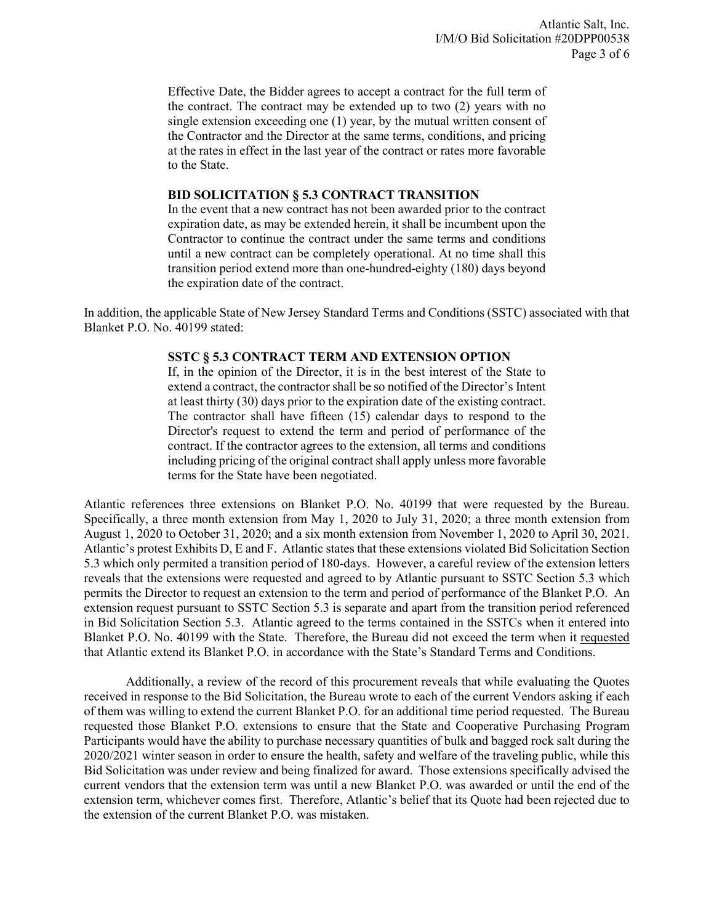Effective Date, the Bidder agrees to accept a contract for the full term of the contract. The contract may be extended up to two (2) years with no single extension exceeding one (1) year, by the mutual written consent of the Contractor and the Director at the same terms, conditions, and pricing at the rates in effect in the last year of the contract or rates more favorable to the State.

## **BID SOLICITATION § 5.3 CONTRACT TRANSITION**

In the event that a new contract has not been awarded prior to the contract expiration date, as may be extended herein, it shall be incumbent upon the Contractor to continue the contract under the same terms and conditions until a new contract can be completely operational. At no time shall this transition period extend more than one-hundred-eighty (180) days beyond the expiration date of the contract.

In addition, the applicable State of New Jersey Standard Terms and Conditions (SSTC) associated with that Blanket P.O. No. 40199 stated:

## **SSTC § 5.3 CONTRACT TERM AND EXTENSION OPTION**

If, in the opinion of the Director, it is in the best interest of the State to extend a contract, the contractor shall be so notified of the Director's Intent at least thirty (30) days prior to the expiration date of the existing contract. The contractor shall have fifteen (15) calendar days to respond to the Director's request to extend the term and period of performance of the contract. If the contractor agrees to the extension, all terms and conditions including pricing of the original contract shall apply unless more favorable terms for the State have been negotiated.

Atlantic references three extensions on Blanket P.O. No. 40199 that were requested by the Bureau. Specifically, a three month extension from May 1, 2020 to July 31, 2020; a three month extension from August 1, 2020 to October 31, 2020; and a six month extension from November 1, 2020 to April 30, 2021. Atlantic's protest Exhibits D, E and F. Atlantic states that these extensions violated Bid Solicitation Section 5.3 which only permited a transition period of 180-days. However, a careful review of the extension letters reveals that the extensions were requested and agreed to by Atlantic pursuant to SSTC Section 5.3 which permits the Director to request an extension to the term and period of performance of the Blanket P.O. An extension request pursuant to SSTC Section 5.3 is separate and apart from the transition period referenced in Bid Solicitation Section 5.3. Atlantic agreed to the terms contained in the SSTCs when it entered into Blanket P.O. No. 40199 with the State. Therefore, the Bureau did not exceed the term when it requested that Atlantic extend its Blanket P.O. in accordance with the State's Standard Terms and Conditions.

Additionally, a review of the record of this procurement reveals that while evaluating the Quotes received in response to the Bid Solicitation, the Bureau wrote to each of the current Vendors asking if each of them was willing to extend the current Blanket P.O. for an additional time period requested. The Bureau requested those Blanket P.O. extensions to ensure that the State and Cooperative Purchasing Program Participants would have the ability to purchase necessary quantities of bulk and bagged rock salt during the 2020/2021 winter season in order to ensure the health, safety and welfare of the traveling public, while this Bid Solicitation was under review and being finalized for award. Those extensions specifically advised the current vendors that the extension term was until a new Blanket P.O. was awarded or until the end of the extension term, whichever comes first. Therefore, Atlantic's belief that its Quote had been rejected due to the extension of the current Blanket P.O. was mistaken.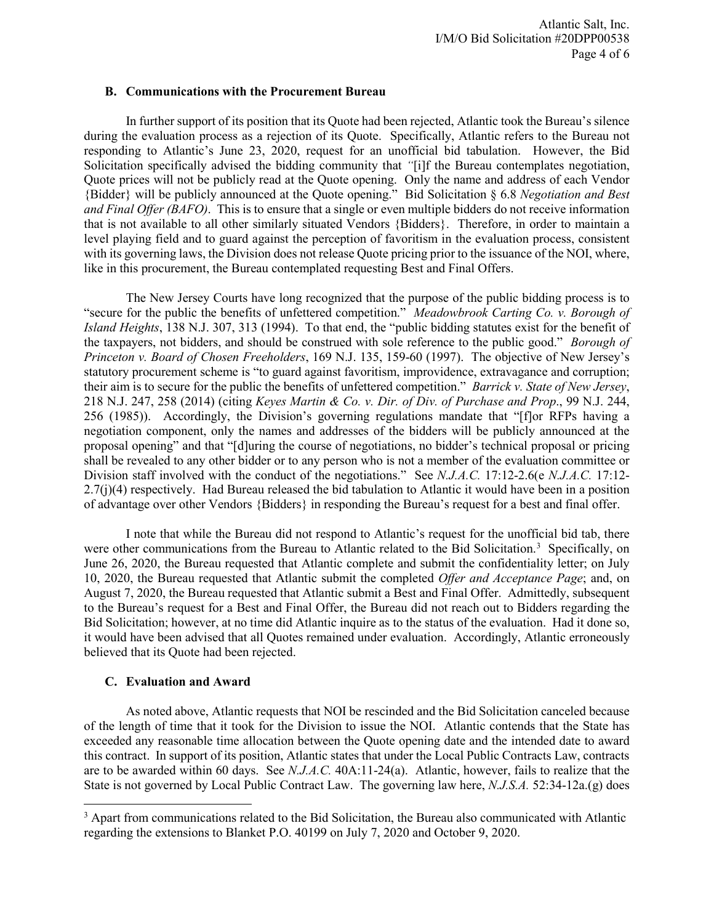## **B. Communications with the Procurement Bureau**

In further support of its position that its Quote had been rejected, Atlantic took the Bureau's silence during the evaluation process as a rejection of its Quote. Specifically, Atlantic refers to the Bureau not responding to Atlantic's June 23, 2020, request for an unofficial bid tabulation. However, the Bid Solicitation specifically advised the bidding community that *"*[i]f the Bureau contemplates negotiation, Quote prices will not be publicly read at the Quote opening. Only the name and address of each Vendor {Bidder} will be publicly announced at the Quote opening." Bid Solicitation § 6.8 *Negotiation and Best and Final Offer (BAFO)*. This is to ensure that a single or even multiple bidders do not receive information that is not available to all other similarly situated Vendors {Bidders}. Therefore, in order to maintain a level playing field and to guard against the perception of favoritism in the evaluation process, consistent with its governing laws, the Division does not release Quote pricing prior to the issuance of the NOI, where, like in this procurement, the Bureau contemplated requesting Best and Final Offers.

The New Jersey Courts have long recognized that the purpose of the public bidding process is to "secure for the public the benefits of unfettered competition." *Meadowbrook Carting Co. v. Borough of Island Heights*, 138 N.J. 307, 313 (1994). To that end, the "public bidding statutes exist for the benefit of the taxpayers, not bidders, and should be construed with sole reference to the public good." *Borough of Princeton v. Board of Chosen Freeholders*, 169 N.J. 135, 159-60 (1997). The objective of New Jersey's statutory procurement scheme is "to guard against favoritism, improvidence, extravagance and corruption; their aim is to secure for the public the benefits of unfettered competition." *Barrick v. State of New Jersey*, 218 N.J. 247, 258 (2014) (citing *Keyes Martin & Co. v. Dir. of Div. of Purchase and Prop*., 99 N.J. 244, 256 (1985)). Accordingly, the Division's governing regulations mandate that "[f]or RFPs having a negotiation component, only the names and addresses of the bidders will be publicly announced at the proposal opening" and that "[d]uring the course of negotiations, no bidder's technical proposal or pricing shall be revealed to any other bidder or to any person who is not a member of the evaluation committee or Division staff involved with the conduct of the negotiations." See *N.J.A.C.* 17:12-2.6(e *N.J.A.C.* 17:12- 2.7(j)(4) respectively. Had Bureau released the bid tabulation to Atlantic it would have been in a position of advantage over other Vendors {Bidders} in responding the Bureau's request for a best and final offer.

I note that while the Bureau did not respond to Atlantic's request for the unofficial bid tab, there were other communications from the Bureau to Atlantic related to the Bid Solicitation.<sup>[3](#page-3-0)</sup> Specifically, on June 26, 2020, the Bureau requested that Atlantic complete and submit the confidentiality letter; on July 10, 2020, the Bureau requested that Atlantic submit the completed *Offer and Acceptance Page*; and, on August 7, 2020, the Bureau requested that Atlantic submit a Best and Final Offer. Admittedly, subsequent to the Bureau's request for a Best and Final Offer, the Bureau did not reach out to Bidders regarding the Bid Solicitation; however, at no time did Atlantic inquire as to the status of the evaluation. Had it done so, it would have been advised that all Quotes remained under evaluation. Accordingly, Atlantic erroneously believed that its Quote had been rejected.

# **C. Evaluation and Award**

l

As noted above, Atlantic requests that NOI be rescinded and the Bid Solicitation canceled because of the length of time that it took for the Division to issue the NOI. Atlantic contends that the State has exceeded any reasonable time allocation between the Quote opening date and the intended date to award this contract. In support of its position, Atlantic states that under the Local Public Contracts Law, contracts are to be awarded within 60 days. See *N.J.A.C.* 40A:11-24(a). Atlantic, however, fails to realize that the State is not governed by Local Public Contract Law. The governing law here, *N.J.S.A.* 52:34-12a.(g) does

<span id="page-3-0"></span><sup>&</sup>lt;sup>3</sup> Apart from communications related to the Bid Solicitation, the Bureau also communicated with Atlantic regarding the extensions to Blanket P.O. 40199 on July 7, 2020 and October 9, 2020.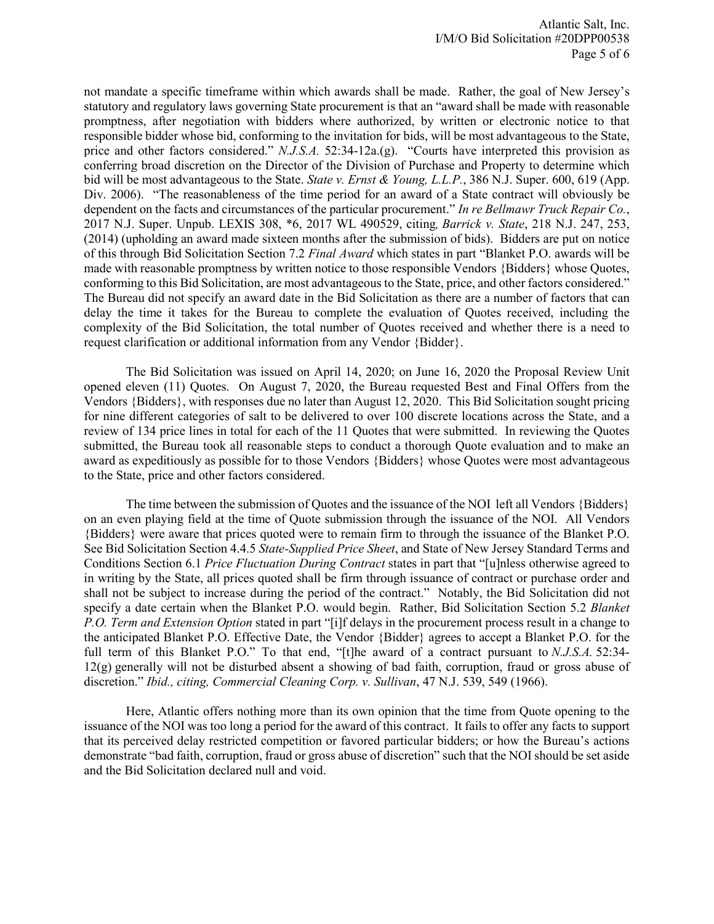not mandate a specific timeframe within which awards shall be made. Rather, the goal of New Jersey's statutory and regulatory laws governing State procurement is that an "award shall be made with reasonable promptness, after negotiation with bidders where authorized, by written or electronic notice to that responsible bidder whose bid, conforming to the invitation for bids, will be most advantageous to the State, price and other factors considered." *N.J.S.A.* 52:34-12a.(g). "Courts have interpreted this provision as conferring broad discretion on the Director of the Division of Purchase and Property to determine which bid will be most advantageous to the State. *State v. Ernst & Young, L.L.P.*, 386 N.J. Super. 600, 619 (App. Div. 2006). "The reasonableness of the time period for an award of a State contract will obviously be dependent on the facts and circumstances of the particular procurement." *In re Bellmawr Truck Repair Co.*, 2017 N.J. Super. Unpub. LEXIS 308, \*6, 2017 WL 490529, citing*, Barrick v. State*, 218 N.J. 247, 253, (2014) (upholding an award made sixteen months after the submission of bids). Bidders are put on notice of this through Bid Solicitation Section 7.2 *Final Award* which states in part "Blanket P.O. awards will be made with reasonable promptness by written notice to those responsible Vendors {Bidders} whose Quotes, conforming to this Bid Solicitation, are most advantageous to the State, price, and other factors considered." The Bureau did not specify an award date in the Bid Solicitation as there are a number of factors that can delay the time it takes for the Bureau to complete the evaluation of Quotes received, including the complexity of the Bid Solicitation, the total number of Quotes received and whether there is a need to request clarification or additional information from any Vendor {Bidder}.

The Bid Solicitation was issued on April 14, 2020; on June 16, 2020 the Proposal Review Unit opened eleven (11) Quotes. On August 7, 2020, the Bureau requested Best and Final Offers from the Vendors {Bidders}, with responses due no later than August 12, 2020. This Bid Solicitation sought pricing for nine different categories of salt to be delivered to over 100 discrete locations across the State, and a review of 134 price lines in total for each of the 11 Quotes that were submitted. In reviewing the Quotes submitted, the Bureau took all reasonable steps to conduct a thorough Quote evaluation and to make an award as expeditiously as possible for to those Vendors {Bidders} whose Quotes were most advantageous to the State, price and other factors considered.

The time between the submission of Quotes and the issuance of the NOI left all Vendors {Bidders} on an even playing field at the time of Quote submission through the issuance of the NOI. All Vendors {Bidders} were aware that prices quoted were to remain firm to through the issuance of the Blanket P.O. See Bid Solicitation Section 4.4.5 *State-Supplied Price Sheet*, and State of New Jersey Standard Terms and Conditions Section 6.1 *Price Fluctuation During Contract* states in part that "[u]nless otherwise agreed to in writing by the State, all prices quoted shall be firm through issuance of contract or purchase order and shall not be subject to increase during the period of the contract." Notably, the Bid Solicitation did not specify a date certain when the Blanket P.O. would begin. Rather, Bid Solicitation Section 5.2 *Blanket P.O. Term and Extension Option* stated in part "[i]f delays in the procurement process result in a change to the anticipated Blanket P.O. Effective Date, the Vendor {Bidder} agrees to accept a Blanket P.O. for the full term of this Blanket P.O." To that end, "[t]he award of a contract pursuant to *N.J.S.A.* 52:34- 12(g) generally will not be disturbed absent a showing of bad faith, corruption, fraud or gross abuse of discretion." *Ibid., citing, Commercial Cleaning Corp. v. Sullivan*, 47 N.J. 539, 549 (1966).

Here, Atlantic offers nothing more than its own opinion that the time from Quote opening to the issuance of the NOI was too long a period for the award of this contract. It fails to offer any facts to support that its perceived delay restricted competition or favored particular bidders; or how the Bureau's actions demonstrate "bad faith, corruption, fraud or gross abuse of discretion" such that the NOI should be set aside and the Bid Solicitation declared null and void.